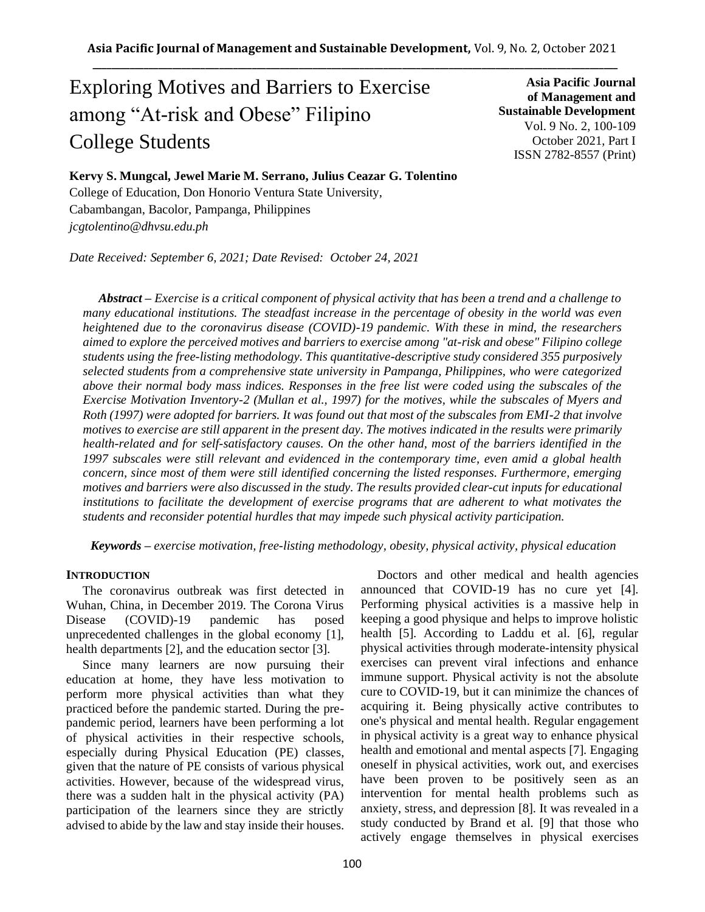# Exploring Motives and Barriers to Exercise among "At-risk and Obese" Filipino College Students

**Asia Pacific Journal of Management and Sustainable Development**  Vol. 9 No. 2, 100-109 October 2021, Part I ISSN 2782-8557 (Print)

**Kervy S. Mungcal, Jewel Marie M. Serrano, Julius Ceazar G. Tolentino**  College of Education, Don Honorio Ventura State University, Cabambangan, Bacolor, Pampanga, Philippines *jcgtolentino@dhvsu.edu.ph*

*Date Received: September 6, 2021; Date Revised: October 24, 2021*

*Abstract – Exercise is a critical component of physical activity that has been a trend and a challenge to many educational institutions. The steadfast increase in the percentage of obesity in the world was even heightened due to the coronavirus disease (COVID)-19 pandemic. With these in mind, the researchers aimed to explore the perceived motives and barriers to exercise among "at-risk and obese" Filipino college students using the free-listing methodology. This quantitative-descriptive study considered 355 purposively selected students from a comprehensive state university in Pampanga, Philippines, who were categorized above their normal body mass indices. Responses in the free list were coded using the subscales of the Exercise Motivation Inventory-2 (Mullan et al., 1997) for the motives, while the subscales of Myers and Roth (1997) were adopted for barriers. It was found out that most of the subscales from EMI-2 that involve motives to exercise are still apparent in the present day. The motives indicated in the results were primarily health-related and for self-satisfactory causes. On the other hand, most of the barriers identified in the 1997 subscales were still relevant and evidenced in the contemporary time, even amid a global health concern, since most of them were still identified concerning the listed responses. Furthermore, emerging motives and barriers were also discussed in the study. The results provided clear-cut inputs for educational institutions to facilitate the development of exercise programs that are adherent to what motivates the students and reconsider potential hurdles that may impede such physical activity participation.*

*Keywords – exercise motivation, free-listing methodology, obesity, physical activity, physical education*

#### **INTRODUCTION**

The coronavirus outbreak was first detected in Wuhan, China, in December 2019. The Corona Virus Disease (COVID)-19 pandemic has posed unprecedented challenges in the global economy [1], health departments [2], and the education sector [3].

Since many learners are now pursuing their education at home, they have less motivation to perform more physical activities than what they practiced before the pandemic started. During the prepandemic period, learners have been performing a lot of physical activities in their respective schools, especially during Physical Education (PE) classes, given that the nature of PE consists of various physical activities. However, because of the widespread virus, there was a sudden halt in the physical activity (PA) participation of the learners since they are strictly advised to abide by the law and stay inside their houses.

Doctors and other medical and health agencies announced that COVID-19 has no cure yet [4]. Performing physical activities is a massive help in keeping a good physique and helps to improve holistic health [5]. According to Laddu et al. [6], regular physical activities through moderate-intensity physical exercises can prevent viral infections and enhance immune support. Physical activity is not the absolute cure to COVID-19, but it can minimize the chances of acquiring it. Being physically active contributes to one's physical and mental health. Regular engagement in physical activity is a great way to enhance physical health and emotional and mental aspects [7]. Engaging oneself in physical activities, work out, and exercises have been proven to be positively seen as an intervention for mental health problems such as anxiety, stress, and depression [8]. It was revealed in a study conducted by Brand et al. [9] that those who actively engage themselves in physical exercises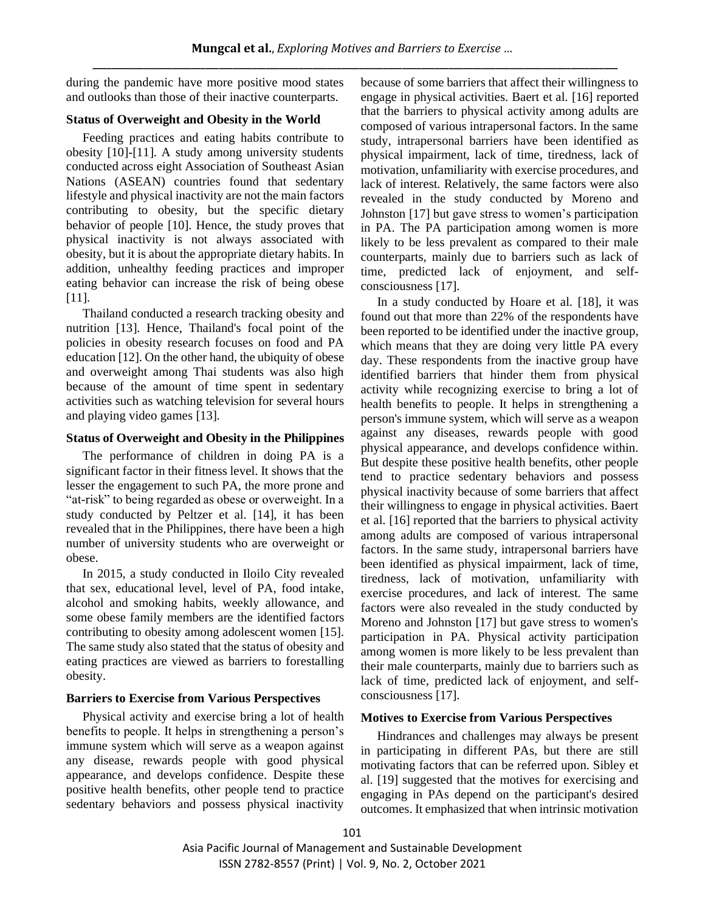during the pandemic have more positive mood states and outlooks than those of their inactive counterparts.

## **Status of Overweight and Obesity in the World**

Feeding practices and eating habits contribute to obesity [10]-[11]. A study among university students conducted across eight Association of Southeast Asian Nations (ASEAN) countries found that sedentary lifestyle and physical inactivity are not the main factors contributing to obesity, but the specific dietary behavior of people [10]. Hence, the study proves that physical inactivity is not always associated with obesity, but it is about the appropriate dietary habits. In addition, unhealthy feeding practices and improper eating behavior can increase the risk of being obese [11].

Thailand conducted a research tracking obesity and nutrition [13]. Hence, Thailand's focal point of the policies in obesity research focuses on food and PA education [12]. On the other hand, the ubiquity of obese and overweight among Thai students was also high because of the amount of time spent in sedentary activities such as watching television for several hours and playing video games [13].

## **Status of Overweight and Obesity in the Philippines**

The performance of children in doing PA is a significant factor in their fitness level. It shows that the lesser the engagement to such PA, the more prone and "at-risk" to being regarded as obese or overweight. In a study conducted by Peltzer et al. [14], it has been revealed that in the Philippines, there have been a high number of university students who are overweight or obese.

In 2015, a study conducted in Iloilo City revealed that sex, educational level, level of PA, food intake, alcohol and smoking habits, weekly allowance, and some obese family members are the identified factors contributing to obesity among adolescent women [15]. The same study also stated that the status of obesity and eating practices are viewed as barriers to forestalling obesity.

# **Barriers to Exercise from Various Perspectives**

Physical activity and exercise bring a lot of health benefits to people. It helps in strengthening a person's immune system which will serve as a weapon against any disease, rewards people with good physical appearance, and develops confidence. Despite these positive health benefits, other people tend to practice sedentary behaviors and possess physical inactivity

because of some barriers that affect their willingness to engage in physical activities. Baert et al. [16] reported that the barriers to physical activity among adults are composed of various intrapersonal factors. In the same study, intrapersonal barriers have been identified as physical impairment, lack of time, tiredness, lack of motivation, unfamiliarity with exercise procedures, and lack of interest. Relatively, the same factors were also revealed in the study conducted by Moreno and Johnston [17] but gave stress to women's participation in PA. The PA participation among women is more likely to be less prevalent as compared to their male counterparts, mainly due to barriers such as lack of time, predicted lack of enjoyment, and selfconsciousness [17].

In a study conducted by Hoare et al. [18], it was found out that more than 22% of the respondents have been reported to be identified under the inactive group, which means that they are doing very little PA every day. These respondents from the inactive group have identified barriers that hinder them from physical activity while recognizing exercise to bring a lot of health benefits to people. It helps in strengthening a person's immune system, which will serve as a weapon against any diseases, rewards people with good physical appearance, and develops confidence within. But despite these positive health benefits, other people tend to practice sedentary behaviors and possess physical inactivity because of some barriers that affect their willingness to engage in physical activities. Baert et al. [16] reported that the barriers to physical activity among adults are composed of various intrapersonal factors. In the same study, intrapersonal barriers have been identified as physical impairment, lack of time, tiredness, lack of motivation, unfamiliarity with exercise procedures, and lack of interest. The same factors were also revealed in the study conducted by Moreno and Johnston [17] but gave stress to women's participation in PA. Physical activity participation among women is more likely to be less prevalent than their male counterparts, mainly due to barriers such as lack of time, predicted lack of enjoyment, and selfconsciousness [17].

# **Motives to Exercise from Various Perspectives**

Hindrances and challenges may always be present in participating in different PAs, but there are still motivating factors that can be referred upon. Sibley et al. [19] suggested that the motives for exercising and engaging in PAs depend on the participant's desired outcomes. It emphasized that when intrinsic motivation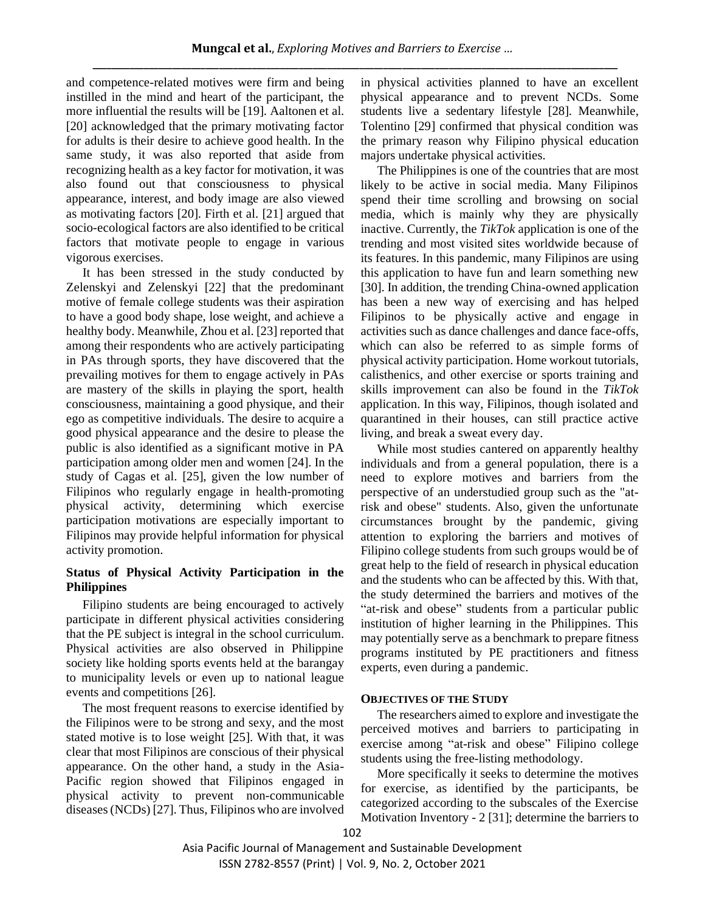and competence-related motives were firm and being instilled in the mind and heart of the participant, the more influential the results will be [19]. Aaltonen et al. [20] acknowledged that the primary motivating factor for adults is their desire to achieve good health. In the same study, it was also reported that aside from recognizing health as a key factor for motivation, it was also found out that consciousness to physical appearance, interest, and body image are also viewed as motivating factors [20]. Firth et al. [21] argued that socio-ecological factors are also identified to be critical factors that motivate people to engage in various vigorous exercises.

It has been stressed in the study conducted by Zelenskyi and Zelenskyi [22] that the predominant motive of female college students was their aspiration to have a good body shape, lose weight, and achieve a healthy body. Meanwhile, Zhou et al. [23] reported that among their respondents who are actively participating in PAs through sports, they have discovered that the prevailing motives for them to engage actively in PAs are mastery of the skills in playing the sport, health consciousness, maintaining a good physique, and their ego as competitive individuals. The desire to acquire a good physical appearance and the desire to please the public is also identified as a significant motive in PA participation among older men and women [24]. In the study of Cagas et al. [25], given the low number of Filipinos who regularly engage in health-promoting physical activity, determining which exercise participation motivations are especially important to Filipinos may provide helpful information for physical activity promotion.

# **Status of Physical Activity Participation in the Philippines**

Filipino students are being encouraged to actively participate in different physical activities considering that the PE subject is integral in the school curriculum. Physical activities are also observed in Philippine society like holding sports events held at the barangay to municipality levels or even up to national league events and competitions [26].

The most frequent reasons to exercise identified by the Filipinos were to be strong and sexy, and the most stated motive is to lose weight [25]. With that, it was clear that most Filipinos are conscious of their physical appearance. On the other hand, a study in the Asia-Pacific region showed that Filipinos engaged in physical activity to prevent non-communicable diseases (NCDs) [27]. Thus, Filipinos who are involved in physical activities planned to have an excellent physical appearance and to prevent NCDs. Some students live a sedentary lifestyle [28]. Meanwhile, Tolentino [29] confirmed that physical condition was the primary reason why Filipino physical education majors undertake physical activities.

The Philippines is one of the countries that are most likely to be active in social media. Many Filipinos spend their time scrolling and browsing on social media, which is mainly why they are physically inactive. Currently, the *TikTok* application is one of the trending and most visited sites worldwide because of its features. In this pandemic, many Filipinos are using this application to have fun and learn something new [30]. In addition, the trending China-owned application has been a new way of exercising and has helped Filipinos to be physically active and engage in activities such as dance challenges and dance face-offs, which can also be referred to as simple forms of physical activity participation. Home workout tutorials, calisthenics, and other exercise or sports training and skills improvement can also be found in the *TikTok* application. In this way, Filipinos, though isolated and quarantined in their houses, can still practice active living, and break a sweat every day.

While most studies cantered on apparently healthy individuals and from a general population, there is a need to explore motives and barriers from the perspective of an understudied group such as the "atrisk and obese" students. Also, given the unfortunate circumstances brought by the pandemic, giving attention to exploring the barriers and motives of Filipino college students from such groups would be of great help to the field of research in physical education and the students who can be affected by this. With that, the study determined the barriers and motives of the "at-risk and obese" students from a particular public institution of higher learning in the Philippines. This may potentially serve as a benchmark to prepare fitness programs instituted by PE practitioners and fitness experts, even during a pandemic.

## **OBJECTIVES OF THE STUDY**

The researchers aimed to explore and investigate the perceived motives and barriers to participating in exercise among "at-risk and obese" Filipino college students using the free-listing methodology.

More specifically it seeks to determine the motives for exercise, as identified by the participants, be categorized according to the subscales of the Exercise Motivation Inventory - 2 [31]; determine the barriers to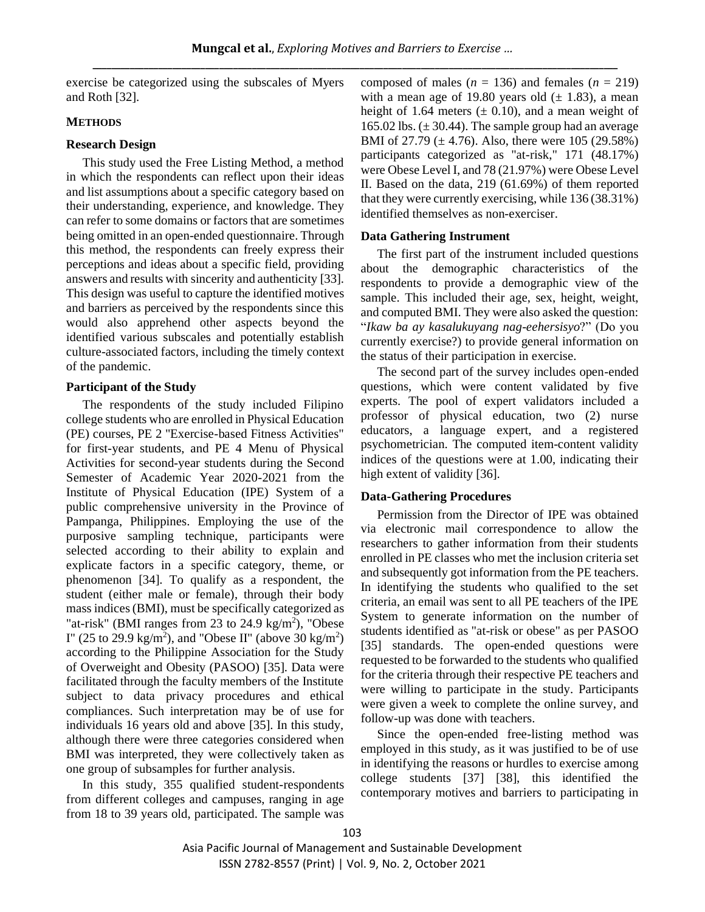exercise be categorized using the subscales of Myers and Roth [32].

# **METHODS**

# **Research Design**

This study used the Free Listing Method, a method in which the respondents can reflect upon their ideas and list assumptions about a specific category based on their understanding, experience, and knowledge. They can refer to some domains or factors that are sometimes being omitted in an open-ended questionnaire. Through this method, the respondents can freely express their perceptions and ideas about a specific field, providing answers and results with sincerity and authenticity [33]. This design was useful to capture the identified motives and barriers as perceived by the respondents since this would also apprehend other aspects beyond the identified various subscales and potentially establish culture-associated factors, including the timely context of the pandemic.

# **Participant of the Study**

The respondents of the study included Filipino college students who are enrolled in Physical Education (PE) courses, PE 2 "Exercise-based Fitness Activities" for first-year students, and PE 4 Menu of Physical Activities for second-year students during the Second Semester of Academic Year 2020-2021 from the Institute of Physical Education (IPE) System of a public comprehensive university in the Province of Pampanga, Philippines. Employing the use of the purposive sampling technique, participants were selected according to their ability to explain and explicate factors in a specific category, theme, or phenomenon [34]. To qualify as a respondent, the student (either male or female), through their body mass indices (BMI), must be specifically categorized as "at-risk" (BMI ranges from 23 to 24.9 kg/m<sup>2</sup>), "Obese I" (25 to 29.9 kg/m<sup>2</sup>), and "Obese II" (above 30 kg/m<sup>2</sup>) according to the Philippine Association for the Study of Overweight and Obesity (PASOO) [35]. Data were facilitated through the faculty members of the Institute subject to data privacy procedures and ethical compliances. Such interpretation may be of use for individuals 16 years old and above [35]. In this study, although there were three categories considered when BMI was interpreted, they were collectively taken as one group of subsamples for further analysis.

In this study, 355 qualified student-respondents from different colleges and campuses, ranging in age from 18 to 39 years old, participated. The sample was composed of males  $(n = 136)$  and females  $(n = 219)$ with a mean age of 19.80 years old  $(\pm 1.83)$ , a mean height of 1.64 meters  $(\pm 0.10)$ , and a mean weight of 165.02 lbs.  $(\pm 30.44)$ . The sample group had an average BMI of 27.79 ( $\pm$  4.76). Also, there were 105 (29.58%) participants categorized as "at-risk," 171 (48.17%) were Obese Level I, and 78 (21.97%) were Obese Level II. Based on the data, 219 (61.69%) of them reported that they were currently exercising, while 136 (38.31%) identified themselves as non-exerciser.

# **Data Gathering Instrument**

The first part of the instrument included questions about the demographic characteristics of the respondents to provide a demographic view of the sample. This included their age, sex, height, weight, and computed BMI. They were also asked the question: "*Ikaw ba ay kasalukuyang nag-eehersisyo*?" (Do you currently exercise?) to provide general information on the status of their participation in exercise.

The second part of the survey includes open-ended questions, which were content validated by five experts. The pool of expert validators included a professor of physical education, two (2) nurse educators, a language expert, and a registered psychometrician. The computed item-content validity indices of the questions were at 1.00, indicating their high extent of validity [36].

# **Data-Gathering Procedures**

Permission from the Director of IPE was obtained via electronic mail correspondence to allow the researchers to gather information from their students enrolled in PE classes who met the inclusion criteria set and subsequently got information from the PE teachers. In identifying the students who qualified to the set criteria, an email was sent to all PE teachers of the IPE System to generate information on the number of students identified as "at-risk or obese" as per PASOO [35] standards. The open-ended questions were requested to be forwarded to the students who qualified for the criteria through their respective PE teachers and were willing to participate in the study. Participants were given a week to complete the online survey, and follow-up was done with teachers.

Since the open-ended free-listing method was employed in this study, as it was justified to be of use in identifying the reasons or hurdles to exercise among college students [37] [38], this identified the contemporary motives and barriers to participating in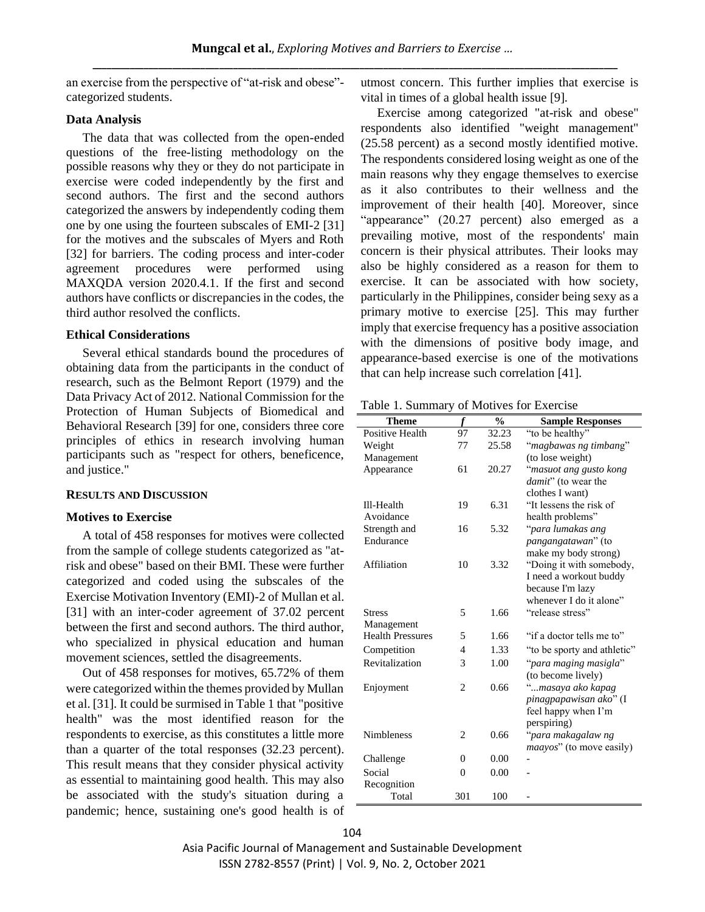an exercise from the perspective of "at-risk and obese" categorized students.

# **Data Analysis**

The data that was collected from the open-ended questions of the free-listing methodology on the possible reasons why they or they do not participate in exercise were coded independently by the first and second authors. The first and the second authors categorized the answers by independently coding them one by one using the fourteen subscales of EMI-2 [31] for the motives and the subscales of Myers and Roth [32] for barriers. The coding process and inter-coder agreement procedures were performed using MAXQDA version 2020.4.1. If the first and second authors have conflicts or discrepancies in the codes, the third author resolved the conflicts.

## **Ethical Considerations**

Several ethical standards bound the procedures of obtaining data from the participants in the conduct of research, such as the Belmont Report (1979) and the Data Privacy Act of 2012. National Commission for the Protection of Human Subjects of Biomedical and Behavioral Research [39] for one, considers three core principles of ethics in research involving human participants such as "respect for others, beneficence, and justice."

## **RESULTS AND DISCUSSION**

#### **Motives to Exercise**

A total of 458 responses for motives were collected from the sample of college students categorized as "atrisk and obese" based on their BMI. These were further categorized and coded using the subscales of the Exercise Motivation Inventory (EMI)-2 of Mullan et al. [31] with an inter-coder agreement of 37.02 percent between the first and second authors. The third author, who specialized in physical education and human movement sciences, settled the disagreements.

Out of 458 responses for motives, 65.72% of them were categorized within the themes provided by Mullan et al. [31]. It could be surmised in Table 1 that "positive health" was the most identified reason for the respondents to exercise, as this constitutes a little more than a quarter of the total responses (32.23 percent). This result means that they consider physical activity as essential to maintaining good health. This may also be associated with the study's situation during a pandemic; hence, sustaining one's good health is of utmost concern. This further implies that exercise is vital in times of a global health issue [9].

Exercise among categorized "at-risk and obese" respondents also identified "weight management" (25.58 percent) as a second mostly identified motive. The respondents considered losing weight as one of the main reasons why they engage themselves to exercise as it also contributes to their wellness and the improvement of their health [40]. Moreover, since "appearance" (20.27 percent) also emerged as a prevailing motive, most of the respondents' main concern is their physical attributes. Their looks may also be highly considered as a reason for them to exercise. It can be associated with how society, particularly in the Philippines, consider being sexy as a primary motive to exercise [25]. This may further imply that exercise frequency has a positive association with the dimensions of positive body image, and appearance-based exercise is one of the motivations that can help increase such correlation [41].

Table 1. Summary of Motives for Exercise

| <b>Theme</b>            | f              | $\frac{0}{0}$ | <b>Sample Responses</b>          |
|-------------------------|----------------|---------------|----------------------------------|
| Positive Health         | 97             | 32.23         | "to be healthy"                  |
| Weight                  | 77             | 25.58         | "magbawas ng timbang"            |
| Management              |                |               | (to lose weight)                 |
| Appearance              | 61             | 20.27         | "masuot ang gusto kong           |
|                         |                |               | damit" (to wear the              |
|                         |                |               | clothes I want)                  |
| Ill-Health              | 19             | 6.31          | "It lessens the risk of          |
| Avoidance               |                |               | health problems"                 |
| Strength and            | 16             | 5.32          | "para lumakas ang                |
| Endurance               |                |               | <i>pangangatawan</i> " (to       |
|                         |                |               | make my body strong)             |
| Affiliation             | 10             | 3.32          | "Doing it with somebody,         |
|                         |                |               | I need a workout buddy           |
|                         |                |               | because I'm lazy                 |
|                         |                |               | whenever I do it alone"          |
| <b>Stress</b>           | 5              | 1.66          | "release stress"                 |
| Management              |                |               |                                  |
| <b>Health Pressures</b> | 5              | 1.66          | "if a doctor tells me to"        |
| Competition             | 4              | 1.33          | "to be sporty and athletic"      |
| Revitalization          | 3              | 1.00          | "para maging masigla"            |
|                         |                |               | (to become lively)               |
| Enjoyment               | $\overline{2}$ | 0.66          | "masaya ako kapag                |
|                         |                |               | pinagpapawisan ako" (I           |
|                         |                |               | feel happy when I'm              |
|                         |                |               | perspiring)                      |
| <b>Nimbleness</b>       | 2              | 0.66          | "para makagalaw ng               |
|                         |                |               | <i>maayos</i> " (to move easily) |
| Challenge               | 0              | 0.00          |                                  |
| Social                  | $\theta$       | 0.00          |                                  |
| Recognition             |                |               |                                  |
| Total                   | 301            | 100           |                                  |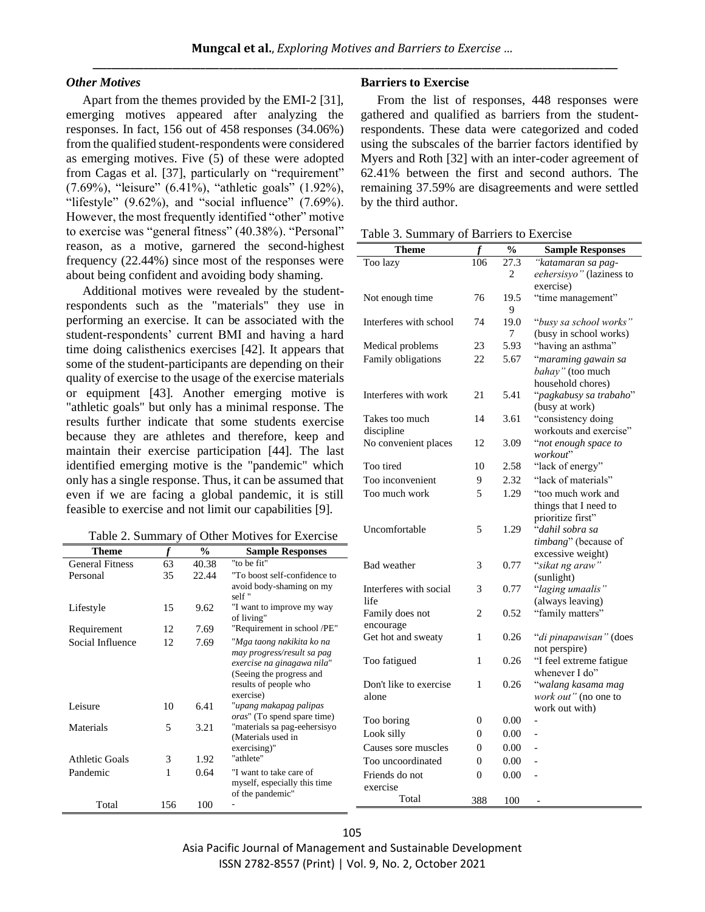## *Other Motives*

Apart from the themes provided by the EMI-2 [31], emerging motives appeared after analyzing the responses. In fact, 156 out of 458 responses (34.06%) from the qualified student-respondents were considered as emerging motives. Five (5) of these were adopted from Cagas et al. [37], particularly on "requirement" (7.69%), "leisure" (6.41%), "athletic goals" (1.92%), "lifestyle"  $(9.62\%)$ , and "social influence"  $(7.69\%)$ . However, the most frequently identified "other" motive to exercise was "general fitness" (40.38%). "Personal" reason, as a motive, garnered the second-highest frequency (22.44%) since most of the responses were about being confident and avoiding body shaming.

Additional motives were revealed by the studentrespondents such as the "materials" they use in performing an exercise. It can be associated with the student-respondents' current BMI and having a hard time doing calisthenics exercises [42]. It appears that some of the student-participants are depending on their quality of exercise to the usage of the exercise materials or equipment [43]. Another emerging motive is "athletic goals" but only has a minimal response. The results further indicate that some students exercise because they are athletes and therefore, keep and maintain their exercise participation [44]. The last identified emerging motive is the "pandemic" which only has a single response. Thus, it can be assumed that even if we are facing a global pandemic, it is still feasible to exercise and not limit our capabilities [9].

| Table 2. Summary of Other Motives for Exercise |  |  |  |
|------------------------------------------------|--|--|--|
|                                                |  |  |  |

| Theme                  |     | $\frac{6}{9}$ | <b>Sample Responses</b>                                                                                                                                 |
|------------------------|-----|---------------|---------------------------------------------------------------------------------------------------------------------------------------------------------|
| <b>General Fitness</b> | 63  | 40.38         | "to be fit"                                                                                                                                             |
| Personal               | 35  | 22.44         | "To boost self-confidence to<br>avoid body-shaming on my<br>self "                                                                                      |
| Lifestyle              | 15  | 9.62          | "I want to improve my way<br>of living"                                                                                                                 |
| Requirement            | 12  | 7.69          | "Requirement in school /PE"                                                                                                                             |
| Social Influence       | 12  | 7.69          | "Mga taong nakikita ko na<br>may progress/result sa pag<br>exercise na ginagawa nila"<br>(Seeing the progress and<br>results of people who<br>exercise) |
| Leisure                | 10  | 6.41          | "upang makapag palipas<br><i>oras</i> " (To spend spare time)                                                                                           |
| Materials              | 5   | 3.21          | "materials sa pag-eehersisyo<br>(Materials used in<br>exercising)"                                                                                      |
| <b>Athletic Goals</b>  | 3   | 1.92          | "athlete"                                                                                                                                               |
| Pandemic               | 1   | 0.64          | "I want to take care of<br>myself, especially this time<br>of the pandemic"                                                                             |
| Total                  | 156 | 100           |                                                                                                                                                         |

## **Barriers to Exercise**

From the list of responses, 448 responses were gathered and qualified as barriers from the studentrespondents. These data were categorized and coded using the subscales of the barrier factors identified by Myers and Roth [32] with an inter-coder agreement of 62.41% between the first and second authors. The remaining 37.59% are disagreements and were settled by the third author.

|  | Table 3. Summary of Barriers to Exercise |  |  |  |  |
|--|------------------------------------------|--|--|--|--|
|--|------------------------------------------|--|--|--|--|

| Theme                  | f              | $\overline{\mathbf{0}}_{\mathbf{0}}$ | <b>Sample Responses</b>              |
|------------------------|----------------|--------------------------------------|--------------------------------------|
| Too lazy               | 106            | 27.3                                 | "katamaran sa pag-                   |
|                        |                | 2                                    | eehersisyo" (laziness to             |
|                        |                |                                      | exercise)                            |
| Not enough time        | 76             | 19.5                                 | "time management"                    |
|                        |                | 9                                    |                                      |
| Interferes with school | 74             | 19.0                                 | "busy sa school works"               |
|                        |                | 7                                    | (busy in school works)               |
| Medical problems       | 23             | 5.93                                 | "having an asthma"                   |
| Family obligations     | 22             | 5.67                                 | "maraming gawain sa                  |
|                        |                |                                      | bahay" (too much                     |
|                        |                |                                      | household chores)                    |
| Interferes with work   | 21             | 5.41                                 | "pagkabusy sa trabaho"               |
|                        |                |                                      | (busy at work)                       |
| Takes too much         | 14             | 3.61                                 | "consistency doing                   |
| discipline             |                |                                      | workouts and exercise"               |
| No convenient places   | 12             | 3.09                                 | "not enough space to                 |
| Too tired              | 10             | 2.58                                 | workout"<br>"lack of energy"         |
|                        |                |                                      | "lack of materials"                  |
| Too inconvenient       | 9              | 2.32                                 |                                      |
| Too much work          | 5              | 1.29                                 | "too much work and                   |
|                        |                |                                      | things that I need to                |
| Uncomfortable          | 5              | 1.29                                 | prioritize first"<br>"dahil sobra sa |
|                        |                |                                      | timbang" (because of                 |
|                        |                |                                      | excessive weight)                    |
| <b>Bad</b> weather     | 3              | 0.77                                 | "sikat ng araw"                      |
|                        |                |                                      | (sunlight)                           |
| Interferes with social | 3              | 0.77                                 | "laging umaalis"                     |
| life                   |                |                                      | (always leaving)                     |
| Family does not        | 2              | 0.52                                 | "family matters"                     |
| encourage              |                |                                      |                                      |
| Get hot and sweaty     | 1              | 0.26                                 | "di pinapawisan" (does               |
|                        |                |                                      | not perspire)                        |
| Too fatigued           | 1              | 0.26                                 | "I feel extreme fatigue              |
|                        |                |                                      | whenever I do"                       |
| Don't like to exercise | 1              | 0.26                                 | "walang kasama mag                   |
| alone                  |                |                                      | work out" (no one to                 |
|                        |                |                                      | work out with)                       |
| Too boring             | $\overline{0}$ | 0.00                                 |                                      |
| Look silly             | 0              | 0.00                                 |                                      |
| Causes sore muscles    | 0              | 0.00                                 |                                      |
| Too uncoordinated      | 0              | 0.00                                 |                                      |
| Friends do not         | $\overline{0}$ | 0.00                                 |                                      |
| exercise               |                |                                      |                                      |
| Total                  | 388            | 100                                  |                                      |

Asia Pacific Journal of Management and Sustainable Development ISSN 2782-8557 (Print) | Vol. 9, No. 2, October 2021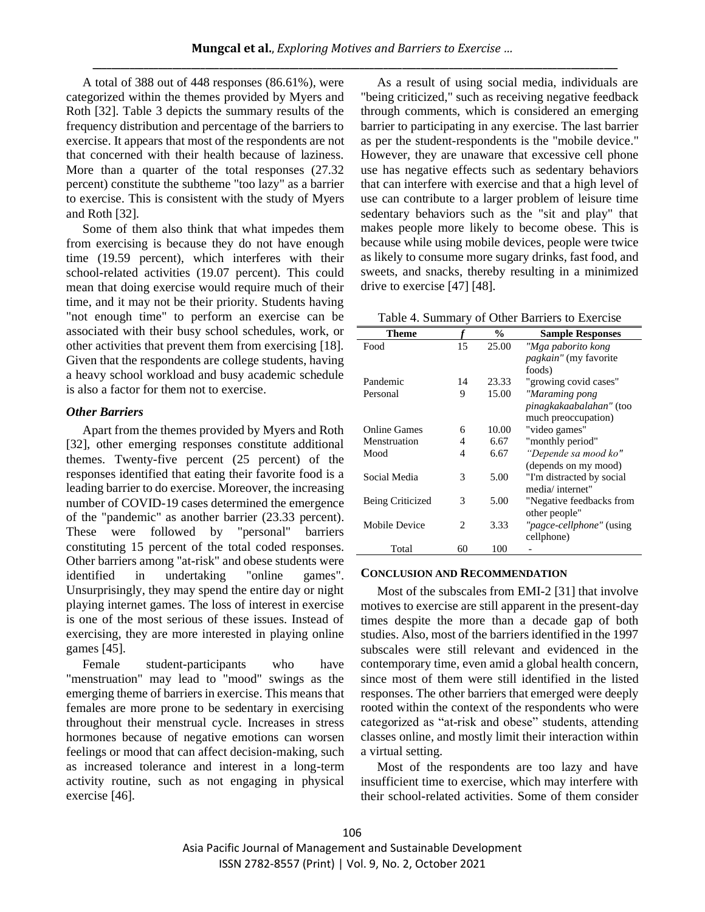A total of 388 out of 448 responses (86.61%), were categorized within the themes provided by Myers and Roth [32]. Table 3 depicts the summary results of the frequency distribution and percentage of the barriers to exercise. It appears that most of the respondents are not that concerned with their health because of laziness. More than a quarter of the total responses  $(27.32)$ percent) constitute the subtheme "too lazy" as a barrier to exercise. This is consistent with the study of Myers and Roth [32].

Some of them also think that what impedes them from exercising is because they do not have enough time (19.59 percent), which interferes with their school-related activities (19.07 percent). This could mean that doing exercise would require much of their time, and it may not be their priority. Students having "not enough time" to perform an exercise can be associated with their busy school schedules, work, or other activities that prevent them from exercising [18]. Given that the respondents are college students, having a heavy school workload and busy academic schedule is also a factor for them not to exercise.

# *Other Barriers*

Apart from the themes provided by Myers and Roth [32], other emerging responses constitute additional themes. Twenty-five percent (25 percent) of the responses identified that eating their favorite food is a leading barrier to do exercise. Moreover, the increasing number of COVID-19 cases determined the emergence of the "pandemic" as another barrier (23.33 percent). These were followed by "personal" barriers constituting 15 percent of the total coded responses. Other barriers among "at-risk" and obese students were identified in undertaking "online games". Unsurprisingly, they may spend the entire day or night playing internet games. The loss of interest in exercise is one of the most serious of these issues. Instead of exercising, they are more interested in playing online games [45].

Female student-participants who have "menstruation" may lead to "mood" swings as the emerging theme of barriers in exercise. This means that females are more prone to be sedentary in exercising throughout their menstrual cycle. Increases in stress hormones because of negative emotions can worsen feelings or mood that can affect decision-making, such as increased tolerance and interest in a long-term activity routine, such as not engaging in physical exercise [46].

As a result of using social media, individuals are "being criticized," such as receiving negative feedback through comments, which is considered an emerging barrier to participating in any exercise. The last barrier as per the student-respondents is the "mobile device." However, they are unaware that excessive cell phone use has negative effects such as sedentary behaviors that can interfere with exercise and that a high level of use can contribute to a larger problem of leisure time sedentary behaviors such as the "sit and play" that makes people more likely to become obese. This is because while using mobile devices, people were twice as likely to consume more sugary drinks, fast food, and sweets, and snacks, thereby resulting in a minimized drive to exercise [47] [48].

Table 4. Summary of Other Barriers to Exercise

| Theme                   |                | $\frac{0}{0}$ | <b>Sample Responses</b>      |  |  |
|-------------------------|----------------|---------------|------------------------------|--|--|
| Food                    | 15             | 25.00         | "Mga paborito kong           |  |  |
|                         |                |               | <i>pagkain"</i> (my favorite |  |  |
|                         |                |               | foods)                       |  |  |
| Pandemic                | 14             | 23.33         | "growing covid cases"        |  |  |
| Personal                | 9              | 15.00         | "Maraming pong               |  |  |
|                         |                |               | pinagkakaabalahan" (too      |  |  |
|                         |                |               | much preoccupation)          |  |  |
| <b>Online Games</b>     | 6              | 10.00         | "video games"                |  |  |
| Menstruation            | 4              | 6.67          | "monthly period"             |  |  |
| Mood                    | 4              | 6.67          | "Depende sa mood ko"         |  |  |
|                         |                |               | (depends on my mood)         |  |  |
| Social Media            | 3              | 5.00          | "I'm distracted by social    |  |  |
|                         |                |               | media/internet"              |  |  |
| <b>Being Criticized</b> | 3              | 5.00          | "Negative feedbacks from     |  |  |
|                         |                |               | other people"                |  |  |
| <b>Mobile Device</b>    | $\mathfrak{D}$ | 3.33          | "pagce-cellphone" (using     |  |  |
|                         |                |               | cellphone)                   |  |  |
| Total                   | 60             | 100           |                              |  |  |

## **CONCLUSION AND RECOMMENDATION**

Most of the subscales from EMI-2 [31] that involve motives to exercise are still apparent in the present-day times despite the more than a decade gap of both studies. Also, most of the barriers identified in the 1997 subscales were still relevant and evidenced in the contemporary time, even amid a global health concern, since most of them were still identified in the listed responses. The other barriers that emerged were deeply rooted within the context of the respondents who were categorized as "at-risk and obese" students, attending classes online, and mostly limit their interaction within a virtual setting.

Most of the respondents are too lazy and have insufficient time to exercise, which may interfere with their school-related activities. Some of them consider

Asia Pacific Journal of Management and Sustainable Development ISSN 2782-8557 (Print) | Vol. 9, No. 2, October 2021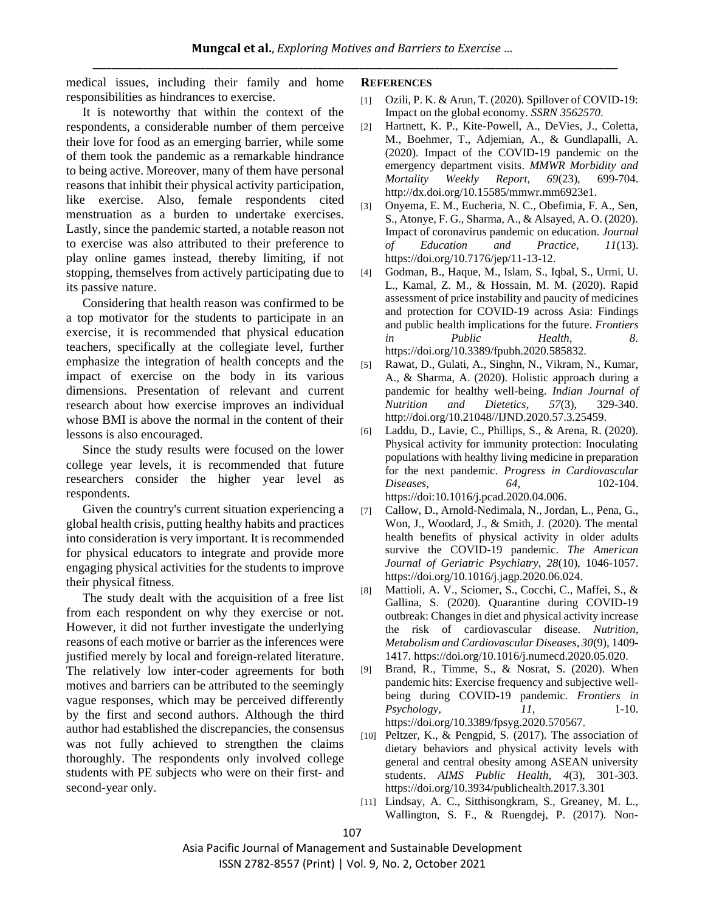medical issues, including their family and home responsibilities as hindrances to exercise.

It is noteworthy that within the context of the respondents, a considerable number of them perceive their love for food as an emerging barrier, while some of them took the pandemic as a remarkable hindrance to being active. Moreover, many of them have personal reasons that inhibit their physical activity participation, like exercise. Also, female respondents cited menstruation as a burden to undertake exercises. Lastly, since the pandemic started, a notable reason not to exercise was also attributed to their preference to play online games instead, thereby limiting, if not stopping, themselves from actively participating due to its passive nature.

Considering that health reason was confirmed to be a top motivator for the students to participate in an exercise, it is recommended that physical education teachers, specifically at the collegiate level, further emphasize the integration of health concepts and the impact of exercise on the body in its various dimensions. Presentation of relevant and current research about how exercise improves an individual whose BMI is above the normal in the content of their lessons is also encouraged.

Since the study results were focused on the lower college year levels, it is recommended that future researchers consider the higher year level as respondents.

Given the country's current situation experiencing a global health crisis, putting healthy habits and practices into consideration is very important. It is recommended for physical educators to integrate and provide more engaging physical activities for the students to improve their physical fitness.

The study dealt with the acquisition of a free list from each respondent on why they exercise or not. However, it did not further investigate the underlying reasons of each motive or barrier as the inferences were justified merely by local and foreign-related literature. The relatively low inter-coder agreements for both motives and barriers can be attributed to the seemingly vague responses, which may be perceived differently by the first and second authors. Although the third author had established the discrepancies, the consensus was not fully achieved to strengthen the claims thoroughly. The respondents only involved college students with PE subjects who were on their first- and second-year only.

## **REFERENCES**

- [1] Ozili, P. K. & Arun, T. (2020). Spillover of COVID-19: Impact on the global economy. *SSRN 3562570*.
- [2] Hartnett, K. P., Kite-Powell, A., DeVies, J., Coletta, M., Boehmer, T., Adjemian, A., & Gundlapalli, A. (2020). Impact of the COVID-19 pandemic on the emergency department visits. *MMWR Morbidity and Mortality Weekly Report, 69*(23), 699-704. http://dx.doi.org/10.15585/mmwr.mm6923e1.
- [3] Onyema, E. M., Eucheria, N. C., Obefimia, F. A., Sen, S., Atonye, F. G., Sharma, A., & Alsayed, A. O. (2020). Impact of coronavirus pandemic on education. *Journal of Education and Practice, 11*(13). https://doi.org/10.7176/jep/11-13-12.
- [4] Godman, B., Haque, M., Islam, S., Iqbal, S., Urmi, U. L., Kamal, Z. M., & Hossain, M. M. (2020). Rapid assessment of price instability and paucity of medicines and protection for COVID-19 across Asia: Findings and public health implications for the future. *Frontiers in Public Health, 8*. https://doi.org/10.3389/fpubh.2020.585832.
- [5] Rawat, D., Gulati, A., Singhn, N., Vikram, N., Kumar, A., & Sharma, A. (2020). Holistic approach during a pandemic for healthy well-being. *Indian Journal of Nutrition and Dietetics, 57*(3), 329-340. http://doi.org/10.21048//IJND.2020.57.3.25459.
- [6] Laddu, D., Lavie, C., Phillips, S., & Arena, R. (2020). Physical activity for immunity protection: Inoculating populations with healthy living medicine in preparation for the next pandemic. *Progress in Cardiovascular Diseases, 64*, 102-104. https://doi:10.1016/j.pcad.2020.04.006.
- [7] Callow, D., Arnold-Nedimala, N., Jordan, L., Pena, G., Won, J., Woodard, J., & Smith, J. (2020). The mental health benefits of physical activity in older adults survive the COVID-19 pandemic. *The American Journal of Geriatric Psychiatry, 28*(10), 1046-1057. https://doi.org/10.1016/j.jagp.2020.06.024.
- [8] Mattioli, A. V., Sciomer, S., Cocchi, C., Maffei, S., & Gallina, S. (2020). Quarantine during COVID-19 outbreak: Changes in diet and physical activity increase the risk of cardiovascular disease. *Nutrition, Metabolism and Cardiovascular Diseases, 30*(9), 1409- 1417. https://doi.org/10.1016/j.numecd.2020.05.020.
- [9] Brand, R., Timme, S., & Nosrat, S. (2020). When pandemic hits: Exercise frequency and subjective wellbeing during COVID-19 pandemic. *Frontiers in Psychology, 11*, 1-10. https://doi.org/10.3389/fpsyg.2020.570567.
- [10] Peltzer, K., & Pengpid, S. (2017). The association of dietary behaviors and physical activity levels with general and central obesity among ASEAN university students. *AIMS Public Health, 4*(3), 301-303. https://doi.org/10.3934/publichealth.2017.3.301
- [11] Lindsay, A. C., Sitthisongkram, S., Greaney, M. L., Wallington, S. F., & Ruengdej, P. (2017). Non-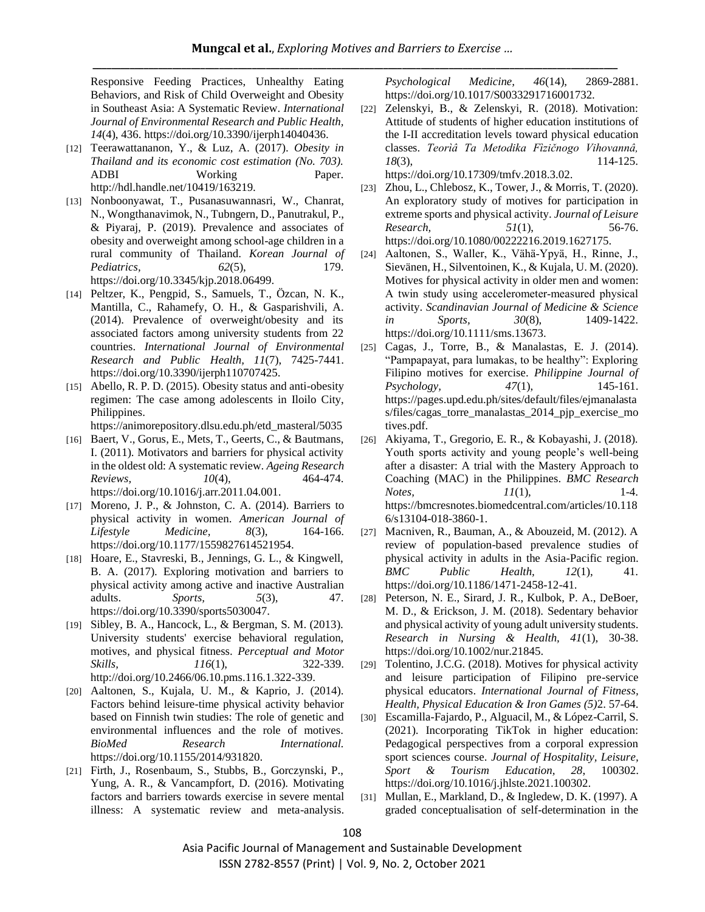Responsive Feeding Practices, Unhealthy Eating Behaviors, and Risk of Child Overweight and Obesity in Southeast Asia: A Systematic Review. *International Journal of Environmental Research and Public Health, 14*(4), 436. https://doi.org/10.3390/ijerph14040436.

- [12] Teerawattananon, Y., & Luz, A. (2017). *Obesity in Thailand and its economic cost estimation (No. 703).* ADBI Working Paper. http://hdl.handle.net/10419/163219.
- [13] Nonboonyawat, T., Pusanasuwannasri, W., Chanrat, N., Wongthanavimok, N., Tubngern, D., Panutrakul, P., & Piyaraj, P. (2019). Prevalence and associates of obesity and overweight among school-age children in a rural community of Thailand. *Korean Journal of Pediatrics, 62*(5), 179. https://doi.org/10.3345/kjp.2018.06499.
- [14] Peltzer, K., Pengpid, S., Samuels, T., Özcan, N. K., Mantilla, C., Rahamefy, O. H., & Gasparishvili, A. (2014). Prevalence of overweight/obesity and its associated factors among university students from 22 countries. *International Journal of Environmental Research and Public Health, 11*(7), 7425-7441. https://doi.org/10.3390/ijerph110707425.
- [15] Abello, R. P. D. (2015). Obesity status and anti-obesity regimen: The case among adolescents in Iloilo City, Philippines.

https://animorepository.dlsu.edu.ph/etd\_masteral/5035

- [16] Baert, V., Gorus, E., Mets, T., Geerts, C., & Bautmans, I. (2011). Motivators and barriers for physical activity in the oldest old: A systematic review. *Ageing Research Reviews, 10*(4), 464-474. https://doi.org/10.1016/j.arr.2011.04.001.
- [17] Moreno, J. P., & Johnston, C. A. (2014). Barriers to physical activity in women. *American Journal of Lifestyle Medicine, 8*(3), 164-166. https://doi.org/10.1177/1559827614521954.
- [18] Hoare, E., Stavreski, B., Jennings, G. L., & Kingwell, B. A. (2017). Exploring motivation and barriers to physical activity among active and inactive Australian adults. *Sports, 5*(3), 47. https://doi.org/10.3390/sports5030047.
- [19] Sibley, B. A., Hancock, L., & Bergman, S. M. (2013). University students' exercise behavioral regulation, motives, and physical fitness. *Perceptual and Motor Skills, 116*(1), 322-339. http://doi.org/10.2466/06.10.pms.116.1.322-339.
- [20] Aaltonen, S., Kujala, U. M., & Kaprio, J. (2014). Factors behind leisure-time physical activity behavior based on Finnish twin studies: The role of genetic and environmental influences and the role of motives. *BioMed Research International.* https://doi.org/10.1155/2014/931820.
- [21] Firth, J., Rosenbaum, S., Stubbs, B., Gorczynski, P., Yung, A. R., & Vancampfort, D. (2016). Motivating factors and barriers towards exercise in severe mental illness: A systematic review and meta-analysis.

*Psychological Medicine, 46*(14), 2869-2881. https://doi.org/10.1017/S0033291716001732.

- [22] Zelenskyi, B., & Zelenskyi, R. (2018). Motivation: Attitude of students of higher education institutions of the I-II accreditation levels toward physical education classes. *Teorìâ Ta Metodika Fìzičnogo Vihovannâ, 18*(3), 114-125. https://doi.org/10.17309/tmfv.2018.3.02.
- [23] Zhou, L., Chlebosz, K., Tower, J., & Morris, T. (2020). An exploratory study of motives for participation in extreme sports and physical activity. *Journal of Leisure Research, 51*(1), 56-76. https://doi.org/10.1080/00222216.2019.1627175.
- [24] Aaltonen, S., Waller, K., Vähä‐Ypyä, H., Rinne, J., Sievänen, H., Silventoinen, K., & Kujala, U. M. (2020). Motives for physical activity in older men and women: A twin study using accelerometer‐measured physical activity. *Scandinavian Journal of Medicine & Science in Sports, 30*(8), 1409-1422. https://doi.org/10.1111/sms.13673.
- [25] Cagas, J., Torre, B., & Manalastas, E. J. (2014). "Pampapayat, para lumakas, to be healthy": Exploring Filipino motives for exercise. *Philippine Journal of Psychology, 47*(1), 145-161. https://pages.upd.edu.ph/sites/default/files/ejmanalasta s/files/cagas torre manalastas 2014 pjp exercise mo tives.pdf.
- [26] Akiyama, T., Gregorio, E. R., & Kobayashi, J. (2018). Youth sports activity and young people's well-being after a disaster: A trial with the Mastery Approach to Coaching (MAC) in the Philippines. *BMC Research Notes,* 11(1), 1-4. https://bmcresnotes.biomedcentral.com/articles/10.118 6/s13104-018-3860-1.
- [27] Macniven, R., Bauman, A., & Abouzeid, M. (2012). A review of population-based prevalence studies of physical activity in adults in the Asia-Pacific region. *BMC Public Health, 12*(1), 41. https://doi.org/10.1186/1471-2458-12-41.
- [28] Peterson, N. E., Sirard, J. R., Kulbok, P. A., DeBoer, M. D., & Erickson, J. M. (2018). Sedentary behavior and physical activity of young adult university students. *Research in Nursing & Health, 41*(1), 30-38. https://doi.org/10.1002/nur.21845.
- [29] Tolentino, J.C.G. (2018). Motives for physical activity and leisure participation of Filipino pre-service physical educators. *International Journal of Fitness, Health, Physical Education & Iron Games (5)*2. 57-64.
- [30] Escamilla-Fajardo, P., Alguacil, M., & López-Carril, S. (2021). Incorporating TikTok in higher education: Pedagogical perspectives from a corporal expression sport sciences course. *Journal of Hospitality, Leisure, Sport & Tourism Education, 28*, 100302. https://doi.org/10.1016/j.jhlste.2021.100302.
- [31] Mullan, E., Markland, D., & Ingledew, D. K. (1997). A graded conceptualisation of self-determination in the

Asia Pacific Journal of Management and Sustainable Development ISSN 2782-8557 (Print) | Vol. 9, No. 2, October 2021